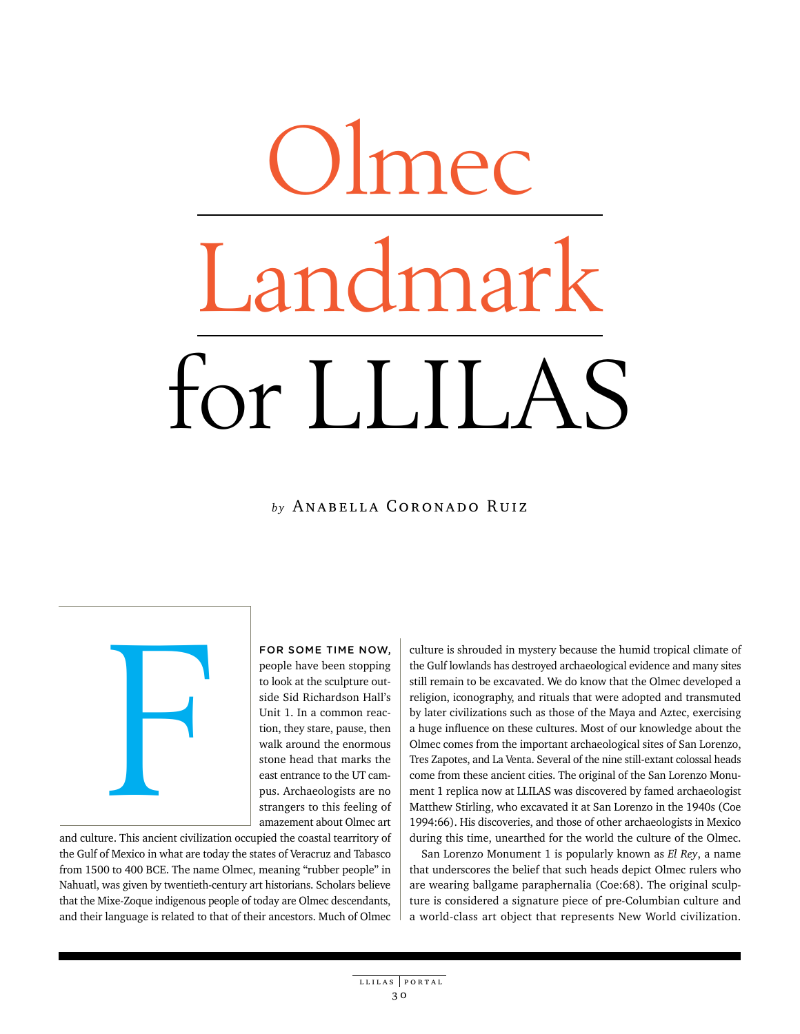## Olmec andmark for LLILAS

## *by* Anabella Coronado Ruiz

**Figure 1.1 And Separate Inc.**<br>Superior Company of the Separate Inc. This ancient civilization of the Separate Inc.<br>Separate Inc.

For some time now, people have been stopping to look at the sculpture outside Sid Richardson Hall's Unit 1. In a common reaction, they stare, pause, then walk around the enormous stone head that marks the east entrance to the UT campus. Archaeologists are no strangers to this feeling of amazement about Olmec art

and culture. This ancient civilization occupied the coastal tearritory of the Gulf of Mexico in what are today the states of Veracruz and Tabasco from 1500 to 400 BCE. The name Olmec, meaning "rubber people" in Nahuatl, was given by twentieth-century art historians. Scholars believe that the Mixe-Zoque indigenous people of today are Olmec descendants, and their language is related to that of their ancestors. Much of Olmec culture is shrouded in mystery because the humid tropical climate of the Gulf lowlands has destroyed archaeological evidence and many sites still remain to be excavated. We do know that the Olmec developed a religion, iconography, and rituals that were adopted and transmuted by later civilizations such as those of the Maya and Aztec, exercising a huge influence on these cultures. Most of our knowledge about the Olmec comes from the important archaeological sites of San Lorenzo, Tres Zapotes, and La Venta. Several of the nine still-extant colossal heads come from these ancient cities. The original of the San Lorenzo Monument 1 replica now at LLILAS was discovered by famed archaeologist Matthew Stirling, who excavated it at San Lorenzo in the 1940s (Coe 1994:66). His discoveries, and those of other archaeologists in Mexico during this time, unearthed for the world the culture of the Olmec.

San Lorenzo Monument 1 is popularly known as *El Rey*, a name that underscores the belief that such heads depict Olmec rulers who are wearing ballgame paraphernalia (Coe:68). The original sculpture is considered a signature piece of pre-Columbian culture and a world-class art object that represents New World civilization.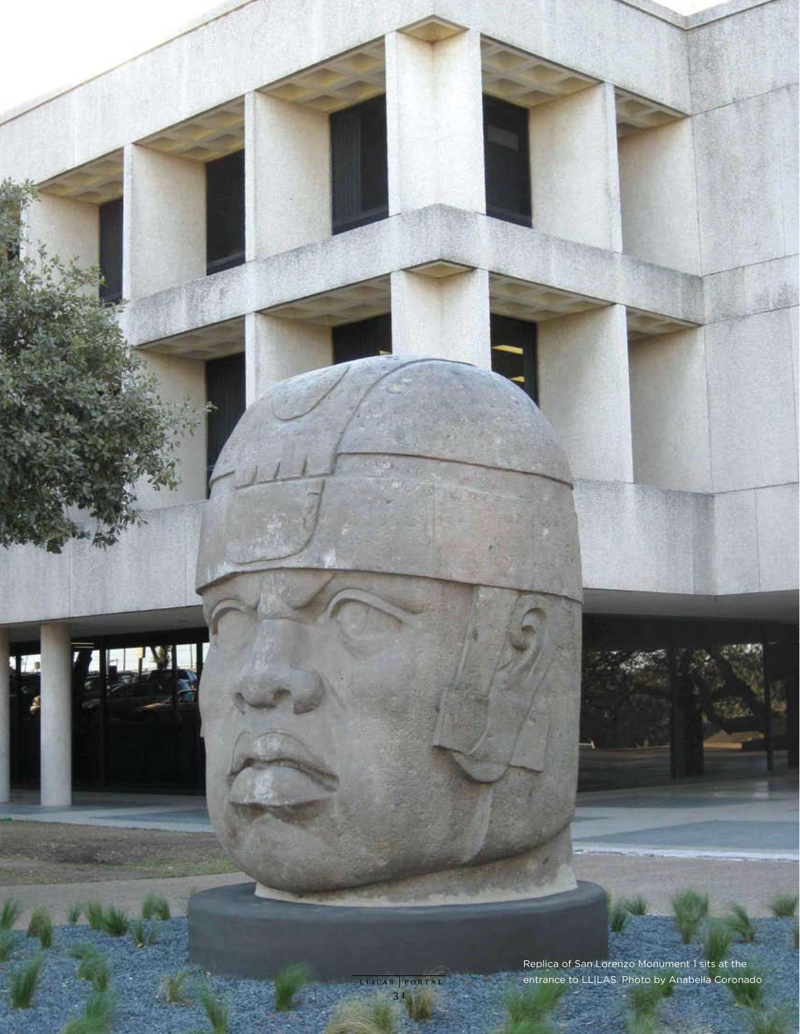Replica of San Lorenzo Monument 1 sits at the entrance to LLILAS. Photo by Anabella Coronado

ū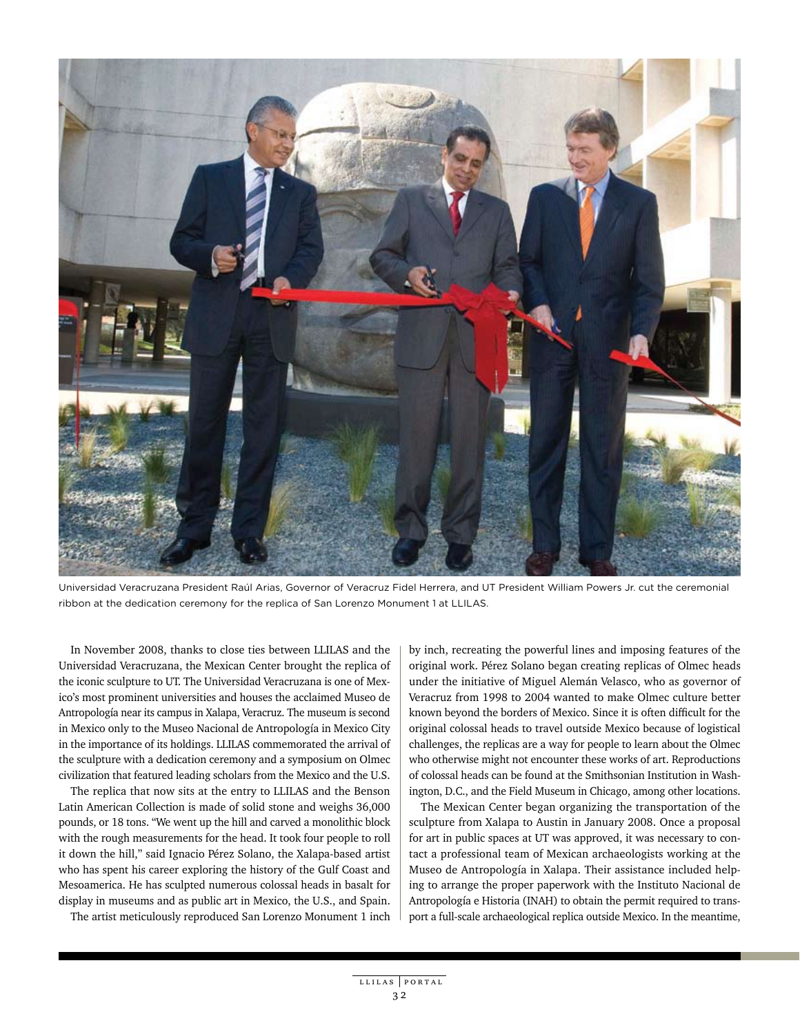

Universidad Veracruzana President Raúl Arias, Governor of Veracruz Fidel Herrera, and UT President William Powers Jr. cut the ceremonial ribbon at the dedication ceremony for the replica of San Lorenzo Monument 1 at LLILAS.

In November 2008, thanks to close ties between LLILAS and the Universidad Veracruzana, the Mexican Center brought the replica of the iconic sculpture to UT. The Universidad Veracruzana is one of Mexico's most prominent universities and houses the acclaimed Museo de Antropología near its campus in Xalapa, Veracruz. The museum is second in Mexico only to the Museo Nacional de Antropología in Mexico City in the importance of its holdings. LLILAS commemorated the arrival of the sculpture with a dedication ceremony and a symposium on Olmec civilization that featured leading scholars from the Mexico and the U.S.

The replica that now sits at the entry to LLILAS and the Benson Latin American Collection is made of solid stone and weighs 36,000 pounds, or 18 tons. "We went up the hill and carved a monolithic block with the rough measurements for the head. It took four people to roll it down the hill," said Ignacio Pérez Solano, the Xalapa-based artist who has spent his career exploring the history of the Gulf Coast and Mesoamerica. He has sculpted numerous colossal heads in basalt for display in museums and as public art in Mexico, the U.S., and Spain.

The artist meticulously reproduced San Lorenzo Monument 1 inch

by inch, recreating the powerful lines and imposing features of the original work. Pérez Solano began creating replicas of Olmec heads under the initiative of Miguel Alemán Velasco, who as governor of Veracruz from 1998 to 2004 wanted to make Olmec culture better known beyond the borders of Mexico. Since it is often difficult for the original colossal heads to travel outside Mexico because of logistical challenges, the replicas are a way for people to learn about the Olmec who otherwise might not encounter these works of art. Reproductions of colossal heads can be found at the Smithsonian Institution in Washington, D.C., and the Field Museum in Chicago, among other locations.

The Mexican Center began organizing the transportation of the sculpture from Xalapa to Austin in January 2008. Once a proposal for art in public spaces at UT was approved, it was necessary to contact a professional team of Mexican archaeologists working at the Museo de Antropología in Xalapa. Their assistance included helping to arrange the proper paperwork with the Instituto Nacional de Antropología e Historia (INAH) to obtain the permit required to transport a full-scale archaeological replica outside Mexico. In the meantime,